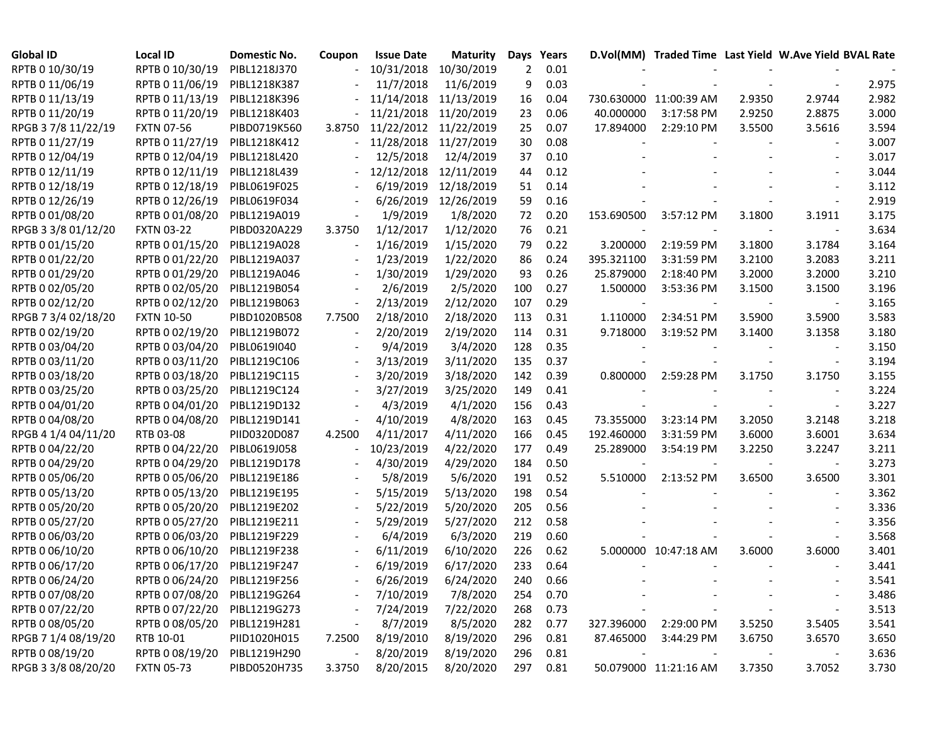| <b>Global ID</b>    | <b>Local ID</b>              | Domestic No. | Coupon                   | <b>Issue Date</b>     | <b>Maturity</b>       | Days | Years |                |                        |        | D.Vol(MM) Traded Time Last Yield W.Ave Yield BVAL Rate |       |
|---------------------|------------------------------|--------------|--------------------------|-----------------------|-----------------------|------|-------|----------------|------------------------|--------|--------------------------------------------------------|-------|
| RPTB 0 10/30/19     | RPTB 0 10/30/19              | PIBL1218J370 |                          | 10/31/2018 10/30/2019 |                       | 2    | 0.01  |                |                        |        |                                                        |       |
| RPTB 0 11/06/19     | RPTB 0 11/06/19              | PIBL1218K387 |                          | 11/7/2018             | 11/6/2019             | 9    | 0.03  |                |                        |        |                                                        | 2.975 |
| RPTB 0 11/13/19     | RPTB 0 11/13/19              | PIBL1218K396 |                          | 11/14/2018 11/13/2019 |                       | 16   | 0.04  |                | 730.630000 11:00:39 AM | 2.9350 | 2.9744                                                 | 2.982 |
| RPTB 0 11/20/19     | RPTB 0 11/20/19              | PIBL1218K403 |                          | 11/21/2018 11/20/2019 |                       | 23   | 0.06  | 40.000000      | 3:17:58 PM             | 2.9250 | 2.8875                                                 | 3.000 |
| RPGB 37/8 11/22/19  | <b>FXTN 07-56</b>            | PIBD0719K560 | 3.8750                   | 11/22/2012 11/22/2019 |                       | 25   | 0.07  | 17.894000      | 2:29:10 PM             | 3.5500 | 3.5616                                                 | 3.594 |
| RPTB 0 11/27/19     | RPTB 0 11/27/19              | PIBL1218K412 | $\overline{\phantom{0}}$ | 11/28/2018 11/27/2019 |                       | 30   | 0.08  |                |                        |        |                                                        | 3.007 |
| RPTB 0 12/04/19     | RPTB 0 12/04/19              | PIBL1218L420 |                          | 12/5/2018             | 12/4/2019             | 37   | 0.10  |                |                        |        |                                                        | 3.017 |
| RPTB 0 12/11/19     | RPTB 0 12/11/19              | PIBL1218L439 |                          |                       | 12/12/2018 12/11/2019 | 44   | 0.12  |                |                        |        |                                                        | 3.044 |
| RPTB 0 12/18/19     | RPTB 0 12/18/19              | PIBL0619F025 |                          | 6/19/2019             | 12/18/2019            | 51   | 0.14  |                |                        |        |                                                        | 3.112 |
| RPTB 0 12/26/19     | RPTB 0 12/26/19              | PIBL0619F034 |                          | 6/26/2019             | 12/26/2019            | 59   | 0.16  |                |                        |        |                                                        | 2.919 |
| RPTB 0 01/08/20     | RPTB 0 01/08/20              | PIBL1219A019 |                          | 1/9/2019              | 1/8/2020              | 72   | 0.20  | 153.690500     | 3:57:12 PM             | 3.1800 | 3.1911                                                 | 3.175 |
| RPGB 3 3/8 01/12/20 | <b>FXTN 03-22</b>            | PIBD0320A229 | 3.3750                   | 1/12/2017             | 1/12/2020             | 76   | 0.21  |                |                        |        |                                                        | 3.634 |
| RPTB 0 01/15/20     | RPTB 0 01/15/20              | PIBL1219A028 |                          | 1/16/2019             | 1/15/2020             | 79   | 0.22  | 3.200000       | 2:19:59 PM             | 3.1800 | 3.1784                                                 | 3.164 |
| RPTB 0 01/22/20     | RPTB 0 01/22/20              | PIBL1219A037 |                          | 1/23/2019             | 1/22/2020             | 86   | 0.24  | 395.321100     | 3:31:59 PM             | 3.2100 | 3.2083                                                 | 3.211 |
| RPTB 0 01/29/20     | RPTB 0 01/29/20              | PIBL1219A046 |                          | 1/30/2019             | 1/29/2020             | 93   | 0.26  | 25.879000      | 2:18:40 PM             | 3.2000 | 3.2000                                                 | 3.210 |
| RPTB 0 02/05/20     | RPTB 0 02/05/20              | PIBL1219B054 |                          | 2/6/2019              | 2/5/2020              | 100  | 0.27  | 1.500000       | 3:53:36 PM             | 3.1500 | 3.1500                                                 | 3.196 |
| RPTB 0 02/12/20     | RPTB 0 02/12/20              | PIBL1219B063 | $\overline{\phantom{a}}$ | 2/13/2019             | 2/12/2020             | 107  | 0.29  |                |                        |        |                                                        | 3.165 |
| RPGB 7 3/4 02/18/20 | <b>FXTN 10-50</b>            | PIBD1020B508 | 7.7500                   | 2/18/2010             | 2/18/2020             | 113  | 0.31  | 1.110000       | 2:34:51 PM             | 3.5900 | 3.5900                                                 | 3.583 |
| RPTB 0 02/19/20     | RPTB 0 02/19/20              | PIBL1219B072 |                          | 2/20/2019             | 2/19/2020             | 114  | 0.31  | 9.718000       | 3:19:52 PM             | 3.1400 | 3.1358                                                 | 3.180 |
| RPTB 0 03/04/20     | RPTB 0 03/04/20              | PIBL0619I040 |                          | 9/4/2019              | 3/4/2020              | 128  | 0.35  |                |                        |        |                                                        | 3.150 |
| RPTB 0 03/11/20     | RPTB 0 03/11/20              | PIBL1219C106 |                          | 3/13/2019             | 3/11/2020             | 135  | 0.37  |                |                        |        |                                                        | 3.194 |
| RPTB 0 03/18/20     | RPTB 0 03/18/20              | PIBL1219C115 |                          | 3/20/2019             | 3/18/2020             | 142  | 0.39  | 0.800000       | 2:59:28 PM             | 3.1750 | 3.1750                                                 | 3.155 |
| RPTB 0 03/25/20     | RPTB 0 03/25/20              | PIBL1219C124 |                          | 3/27/2019             | 3/25/2020             | 149  | 0.41  |                |                        |        |                                                        | 3.224 |
| RPTB 0 04/01/20     | RPTB 0 04/01/20              | PIBL1219D132 |                          | 4/3/2019              | 4/1/2020              | 156  | 0.43  |                |                        |        |                                                        | 3.227 |
| RPTB 0 04/08/20     | RPTB 0 04/08/20              | PIBL1219D141 |                          | 4/10/2019             | 4/8/2020              | 163  | 0.45  | 73.355000      | 3:23:14 PM             | 3.2050 | 3.2148                                                 | 3.218 |
| RPGB 4 1/4 04/11/20 | RTB 03-08                    | PIID0320D087 | 4.2500                   | 4/11/2017             | 4/11/2020             | 166  | 0.45  | 192.460000     | 3:31:59 PM             | 3.6000 | 3.6001                                                 | 3.634 |
| RPTB 0 04/22/20     | RPTB 0 04/22/20              | PIBL0619J058 |                          | 10/23/2019            | 4/22/2020             | 177  | 0.49  | 25.289000      | 3:54:19 PM             | 3.2250 | 3.2247                                                 | 3.211 |
| RPTB 0 04/29/20     | RPTB 0 04/29/20              | PIBL1219D178 |                          | 4/30/2019             | 4/29/2020             | 184  | 0.50  |                |                        |        |                                                        | 3.273 |
| RPTB 0 05/06/20     | RPTB 0 05/06/20              | PIBL1219E186 |                          | 5/8/2019              | 5/6/2020              | 191  | 0.52  | 5.510000       | 2:13:52 PM             | 3.6500 | 3.6500                                                 | 3.301 |
| RPTB 0 05/13/20     | RPTB 0 05/13/20              | PIBL1219E195 |                          | 5/15/2019             | 5/13/2020             | 198  | 0.54  |                |                        |        |                                                        | 3.362 |
| RPTB 0 05/20/20     | RPTB 0 05/20/20              | PIBL1219E202 | $\overline{\phantom{a}}$ | 5/22/2019             | 5/20/2020             | 205  | 0.56  |                |                        |        |                                                        | 3.336 |
| RPTB 0 05/27/20     | RPTB 0 05/27/20              | PIBL1219E211 | $\overline{\phantom{a}}$ | 5/29/2019             | 5/27/2020             | 212  | 0.58  |                |                        |        |                                                        | 3.356 |
| RPTB 0 06/03/20     | RPTB 0 06/03/20              | PIBL1219F229 |                          | 6/4/2019              | 6/3/2020              | 219  | 0.60  |                |                        |        |                                                        | 3.568 |
| RPTB 0 06/10/20     | RPTB 0 06/10/20              | PIBL1219F238 |                          | 6/11/2019             | 6/10/2020             | 226  | 0.62  |                | 5.000000 10:47:18 AM   | 3.6000 | 3.6000                                                 | 3.401 |
| RPTB 0 06/17/20     | RPTB 0 06/17/20              | PIBL1219F247 |                          | 6/19/2019             | 6/17/2020             | 233  | 0.64  |                |                        |        |                                                        | 3.441 |
| RPTB 0 06/24/20     | RPTB 0 06/24/20 PIBL1219F256 |              |                          | 6/26/2019             | 6/24/2020             | 240  | 0.66  |                |                        |        |                                                        | 3.541 |
| RPTB 0 07/08/20     | RPTB 0 07/08/20              | PIBL1219G264 |                          | 7/10/2019             | 7/8/2020              | 254  | 0.70  |                |                        |        |                                                        | 3.486 |
| RPTB 0 07/22/20     | RPTB 0 07/22/20              | PIBL1219G273 |                          | 7/24/2019             | 7/22/2020             | 268  | 0.73  |                |                        |        |                                                        | 3.513 |
| RPTB 0 08/05/20     | RPTB 0 08/05/20              | PIBL1219H281 |                          | 8/7/2019              | 8/5/2020              | 282  | 0.77  | 327.396000     | 2:29:00 PM             | 3.5250 | 3.5405                                                 | 3.541 |
| RPGB 7 1/4 08/19/20 | RTB 10-01                    | PIID1020H015 | 7.2500                   | 8/19/2010             | 8/19/2020             | 296  | 0.81  | 87.465000      | 3:44:29 PM             | 3.6750 | 3.6570                                                 | 3.650 |
| RPTB 0 08/19/20     | RPTB 0 08/19/20              | PIBL1219H290 | $\overline{\phantom{a}}$ | 8/20/2019             | 8/19/2020             | 296  | 0.81  | $\blacksquare$ |                        |        |                                                        | 3.636 |
| RPGB 3 3/8 08/20/20 | <b>FXTN 05-73</b>            | PIBD0520H735 | 3.3750                   | 8/20/2015             | 8/20/2020             | 297  | 0.81  |                | 50.079000 11:21:16 AM  | 3.7350 | 3.7052                                                 | 3.730 |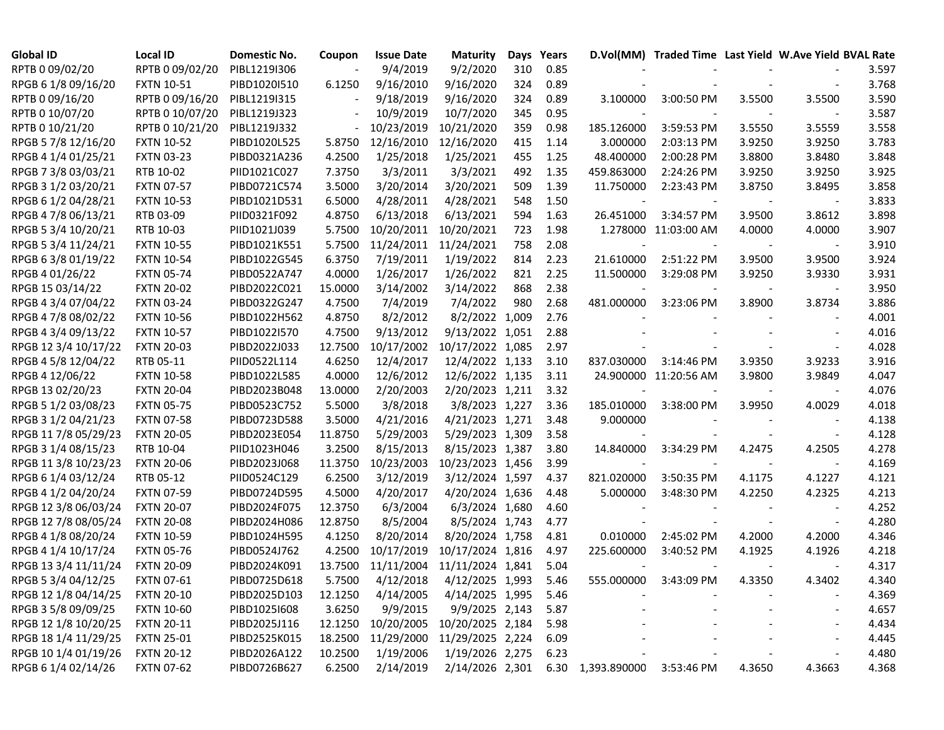| <b>Global ID</b>     | Local ID          | Domestic No. | Coupon  | <b>Issue Date</b> | <b>Maturity</b>             | Days | Years |                   | D.Vol(MM) Traded Time Last Yield W.Ave Yield BVAL Rate |        |        |       |
|----------------------|-------------------|--------------|---------|-------------------|-----------------------------|------|-------|-------------------|--------------------------------------------------------|--------|--------|-------|
| RPTB 0 09/02/20      | RPTB 0 09/02/20   | PIBL1219I306 |         | 9/4/2019          | 9/2/2020                    | 310  | 0.85  |                   |                                                        |        |        | 3.597 |
| RPGB 6 1/8 09/16/20  | <b>FXTN 10-51</b> | PIBD1020I510 | 6.1250  | 9/16/2010         | 9/16/2020                   | 324  | 0.89  |                   |                                                        |        |        | 3.768 |
| RPTB 0 09/16/20      | RPTB 0 09/16/20   | PIBL1219I315 |         | 9/18/2019         | 9/16/2020                   | 324  | 0.89  | 3.100000          | 3:00:50 PM                                             | 3.5500 | 3.5500 | 3.590 |
| RPTB 0 10/07/20      | RPTB 0 10/07/20   | PIBL1219J323 |         | 10/9/2019         | 10/7/2020                   | 345  | 0.95  |                   |                                                        |        |        | 3.587 |
| RPTB 0 10/21/20      | RPTB 0 10/21/20   | PIBL1219J332 |         | 10/23/2019        | 10/21/2020                  | 359  | 0.98  | 185.126000        | 3:59:53 PM                                             | 3.5550 | 3.5559 | 3.558 |
| RPGB 5 7/8 12/16/20  | <b>FXTN 10-52</b> | PIBD1020L525 | 5.8750  | 12/16/2010        | 12/16/2020                  | 415  | 1.14  | 3.000000          | 2:03:13 PM                                             | 3.9250 | 3.9250 | 3.783 |
| RPGB 4 1/4 01/25/21  | <b>FXTN 03-23</b> | PIBD0321A236 | 4.2500  | 1/25/2018         | 1/25/2021                   | 455  | 1.25  | 48.400000         | 2:00:28 PM                                             | 3.8800 | 3.8480 | 3.848 |
| RPGB 7 3/8 03/03/21  | RTB 10-02         | PIID1021C027 | 7.3750  | 3/3/2011          | 3/3/2021                    | 492  | 1.35  | 459.863000        | 2:24:26 PM                                             | 3.9250 | 3.9250 | 3.925 |
| RPGB 3 1/2 03/20/21  | <b>FXTN 07-57</b> | PIBD0721C574 | 3.5000  | 3/20/2014         | 3/20/2021                   | 509  | 1.39  | 11.750000         | 2:23:43 PM                                             | 3.8750 | 3.8495 | 3.858 |
| RPGB 6 1/2 04/28/21  | <b>FXTN 10-53</b> | PIBD1021D531 | 6.5000  | 4/28/2011         | 4/28/2021                   | 548  | 1.50  |                   |                                                        |        |        | 3.833 |
| RPGB 4 7/8 06/13/21  | RTB 03-09         | PIID0321F092 | 4.8750  | 6/13/2018         | 6/13/2021                   | 594  | 1.63  | 26.451000         | 3:34:57 PM                                             | 3.9500 | 3.8612 | 3.898 |
| RPGB 5 3/4 10/20/21  | RTB 10-03         | PIID1021J039 | 5.7500  | 10/20/2011        | 10/20/2021                  | 723  | 1.98  |                   | 1.278000 11:03:00 AM                                   | 4.0000 | 4.0000 | 3.907 |
| RPGB 5 3/4 11/24/21  | <b>FXTN 10-55</b> | PIBD1021K551 | 5.7500  | 11/24/2011        | 11/24/2021                  | 758  | 2.08  |                   |                                                        |        |        | 3.910 |
| RPGB 63/8 01/19/22   | <b>FXTN 10-54</b> | PIBD1022G545 | 6.3750  | 7/19/2011         | 1/19/2022                   | 814  | 2.23  | 21.610000         | 2:51:22 PM                                             | 3.9500 | 3.9500 | 3.924 |
| RPGB 4 01/26/22      | <b>FXTN 05-74</b> | PIBD0522A747 | 4.0000  | 1/26/2017         | 1/26/2022                   | 821  | 2.25  | 11.500000         | 3:29:08 PM                                             | 3.9250 | 3.9330 | 3.931 |
| RPGB 15 03/14/22     | <b>FXTN 20-02</b> | PIBD2022C021 | 15.0000 | 3/14/2002         | 3/14/2022                   | 868  | 2.38  |                   |                                                        |        |        | 3.950 |
| RPGB 4 3/4 07/04/22  | <b>FXTN 03-24</b> | PIBD0322G247 | 4.7500  | 7/4/2019          | 7/4/2022                    | 980  | 2.68  | 481.000000        | 3:23:06 PM                                             | 3.8900 | 3.8734 | 3.886 |
| RPGB 4 7/8 08/02/22  | <b>FXTN 10-56</b> | PIBD1022H562 | 4.8750  | 8/2/2012          | 8/2/2022 1,009              |      | 2.76  |                   |                                                        |        |        | 4.001 |
| RPGB 4 3/4 09/13/22  | <b>FXTN 10-57</b> | PIBD1022I570 | 4.7500  | 9/13/2012         | 9/13/2022 1,051             |      | 2.88  |                   |                                                        |        |        | 4.016 |
| RPGB 12 3/4 10/17/22 | <b>FXTN 20-03</b> | PIBD2022J033 | 12.7500 |                   | 10/17/2002 10/17/2022 1,085 |      | 2.97  |                   |                                                        |        |        | 4.028 |
| RPGB 4 5/8 12/04/22  | RTB 05-11         | PIID0522L114 | 4.6250  | 12/4/2017         | 12/4/2022 1,133             |      | 3.10  | 837.030000        | 3:14:46 PM                                             | 3.9350 | 3.9233 | 3.916 |
| RPGB 4 12/06/22      | <b>FXTN 10-58</b> | PIBD1022L585 | 4.0000  | 12/6/2012         | 12/6/2022 1,135             |      | 3.11  |                   | 24.900000 11:20:56 AM                                  | 3.9800 | 3.9849 | 4.047 |
| RPGB 13 02/20/23     | <b>FXTN 20-04</b> | PIBD2023B048 | 13.0000 | 2/20/2003         | 2/20/2023 1,211             |      | 3.32  | $\blacksquare$    |                                                        |        |        | 4.076 |
| RPGB 5 1/2 03/08/23  | <b>FXTN 05-75</b> | PIBD0523C752 | 5.5000  | 3/8/2018          | 3/8/2023 1,227              |      | 3.36  | 185.010000        | 3:38:00 PM                                             | 3.9950 | 4.0029 | 4.018 |
| RPGB 3 1/2 04/21/23  | <b>FXTN 07-58</b> | PIBD0723D588 | 3.5000  | 4/21/2016         | 4/21/2023 1,271             |      | 3.48  | 9.000000          |                                                        |        |        | 4.138 |
| RPGB 11 7/8 05/29/23 | <b>FXTN 20-05</b> | PIBD2023E054 | 11.8750 | 5/29/2003         | 5/29/2023 1,309             |      | 3.58  |                   |                                                        |        |        | 4.128 |
| RPGB 3 1/4 08/15/23  | RTB 10-04         | PIID1023H046 | 3.2500  | 8/15/2013         | 8/15/2023 1,387             |      | 3.80  | 14.840000         | 3:34:29 PM                                             | 4.2475 | 4.2505 | 4.278 |
| RPGB 11 3/8 10/23/23 | <b>FXTN 20-06</b> | PIBD2023J068 | 11.3750 | 10/23/2003        | 10/23/2023 1,456            |      | 3.99  |                   |                                                        |        |        | 4.169 |
| RPGB 6 1/4 03/12/24  | RTB 05-12         | PIID0524C129 | 6.2500  | 3/12/2019         | 3/12/2024 1,597             |      | 4.37  | 821.020000        | 3:50:35 PM                                             | 4.1175 | 4.1227 | 4.121 |
| RPGB 4 1/2 04/20/24  | <b>FXTN 07-59</b> | PIBD0724D595 | 4.5000  | 4/20/2017         | 4/20/2024 1,636             |      | 4.48  | 5.000000          | 3:48:30 PM                                             | 4.2250 | 4.2325 | 4.213 |
| RPGB 12 3/8 06/03/24 | <b>FXTN 20-07</b> | PIBD2024F075 | 12.3750 | 6/3/2004          | 6/3/2024 1,680              |      | 4.60  |                   |                                                        |        |        | 4.252 |
| RPGB 12 7/8 08/05/24 | <b>FXTN 20-08</b> | PIBD2024H086 | 12.8750 | 8/5/2004          | 8/5/2024 1,743              |      | 4.77  |                   |                                                        |        |        | 4.280 |
| RPGB 4 1/8 08/20/24  | <b>FXTN 10-59</b> | PIBD1024H595 | 4.1250  | 8/20/2014         | 8/20/2024 1,758             |      | 4.81  | 0.010000          | 2:45:02 PM                                             | 4.2000 | 4.2000 | 4.346 |
| RPGB 4 1/4 10/17/24  | <b>FXTN 05-76</b> | PIBD0524J762 | 4.2500  | 10/17/2019        | 10/17/2024 1,816            |      | 4.97  | 225.600000        | 3:40:52 PM                                             | 4.1925 | 4.1926 | 4.218 |
| RPGB 13 3/4 11/11/24 | <b>FXTN 20-09</b> | PIBD2024K091 | 13.7500 | 11/11/2004        | 11/11/2024 1,841            |      | 5.04  |                   |                                                        |        |        | 4.317 |
| RPGB 5 3/4 04/12/25  | <b>FXTN 07-61</b> | PIBD0725D618 | 5.7500  | 4/12/2018         | 4/12/2025 1,993             |      | 5.46  | 555.000000        | $3:43:09$ PM                                           | 4.3350 | 4.3402 | 4.340 |
| RPGB 12 1/8 04/14/25 | <b>FXTN 20-10</b> | PIBD2025D103 | 12.1250 | 4/14/2005         | 4/14/2025 1,995             |      | 5.46  |                   |                                                        |        |        | 4.369 |
| RPGB 3 5/8 09/09/25  | <b>FXTN 10-60</b> | PIBD1025I608 | 3.6250  | 9/9/2015          | 9/9/2025 2,143              |      | 5.87  |                   |                                                        |        |        | 4.657 |
| RPGB 12 1/8 10/20/25 | <b>FXTN 20-11</b> | PIBD2025J116 | 12.1250 | 10/20/2005        | 10/20/2025 2,184            |      | 5.98  |                   |                                                        |        |        | 4.434 |
| RPGB 18 1/4 11/29/25 | <b>FXTN 25-01</b> | PIBD2525K015 | 18.2500 | 11/29/2000        | 11/29/2025 2,224            |      | 6.09  |                   |                                                        |        |        | 4.445 |
| RPGB 10 1/4 01/19/26 | <b>FXTN 20-12</b> | PIBD2026A122 | 10.2500 | 1/19/2006         | 1/19/2026 2,275             |      | 6.23  |                   |                                                        |        |        | 4.480 |
| RPGB 6 1/4 02/14/26  | <b>FXTN 07-62</b> | PIBD0726B627 | 6.2500  | 2/14/2019         | 2/14/2026 2,301             |      |       | 6.30 1,393.890000 | 3:53:46 PM                                             | 4.3650 | 4.3663 | 4.368 |